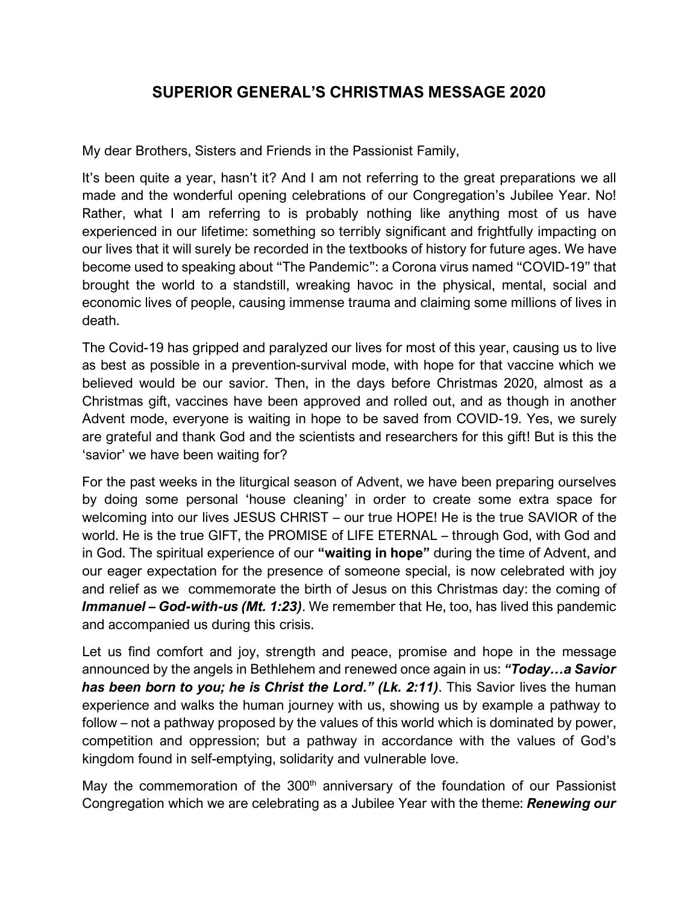## **SUPERIOR GENERAL'S CHRISTMAS MESSAGE 2020**

My dear Brothers, Sisters and Friends in the Passionist Family,

It's been quite a year, hasn't it? And I am not referring to the great preparations we all made and the wonderful opening celebrations of our Congregation's Jubilee Year. No! Rather, what I am referring to is probably nothing like anything most of us have experienced in our lifetime: something so terribly significant and frightfully impacting on our lives that it will surely be recorded in the textbooks of history for future ages. We have become used to speaking about "The Pandemic": a Corona virus named "COVID-19" that brought the world to a standstill, wreaking havoc in the physical, mental, social and economic lives of people, causing immense trauma and claiming some millions of lives in death.

The Covid-19 has gripped and paralyzed our lives for most of this year, causing us to live as best as possible in a prevention-survival mode, with hope for that vaccine which we believed would be our savior. Then, in the days before Christmas 2020, almost as a Christmas gift, vaccines have been approved and rolled out, and as though in another Advent mode, everyone is waiting in hope to be saved from COVID-19. Yes, we surely are grateful and thank God and the scientists and researchers for this gift! But is this the 'savior' we have been waiting for?

For the past weeks in the liturgical season of Advent, we have been preparing ourselves by doing some personal 'house cleaning' in order to create some extra space for welcoming into our lives JESUS CHRIST – our true HOPE! He is the true SAVIOR of the world. He is the true GIFT, the PROMISE of LIFE ETERNAL – through God, with God and in God. The spiritual experience of our **"waiting in hope"** during the time of Advent, and our eager expectation for the presence of someone special, is now celebrated with joy and relief as we commemorate the birth of Jesus on this Christmas day: the coming of *Immanuel – God-with-us (Mt. 1:23)*. We remember that He, too, has lived this pandemic and accompanied us during this crisis.

Let us find comfort and joy, strength and peace, promise and hope in the message announced by the angels in Bethlehem and renewed once again in us: *"Today…a Savior has been born to you; he is Christ the Lord." (Lk. 2:11)*. This Savior lives the human experience and walks the human journey with us, showing us by example a pathway to follow – not a pathway proposed by the values of this world which is dominated by power, competition and oppression; but a pathway in accordance with the values of God's kingdom found in self-emptying, solidarity and vulnerable love.

May the commemoration of the 300<sup>th</sup> anniversary of the foundation of our Passionist Congregation which we are celebrating as a Jubilee Year with the theme: *Renewing our*